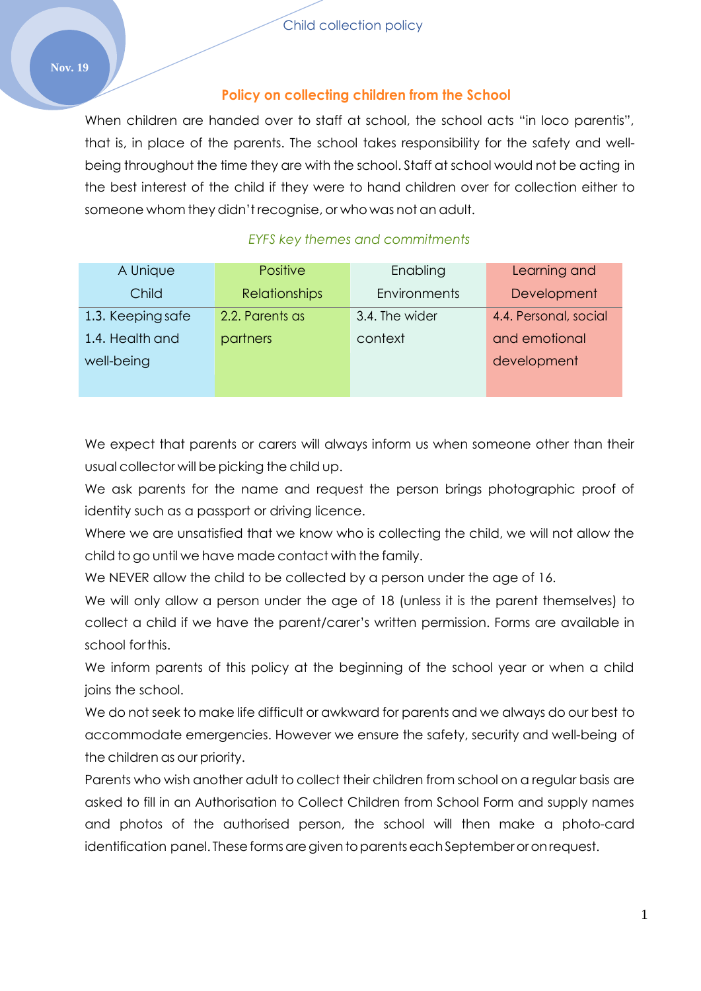## **Policy on collecting children from the School**

When children are handed over to staff at school, the school acts "in loco parentis", that is, in place of the parents. The school takes responsibility for the safety and wellbeing throughout the time they are with the school. Staff at school would not be acting in the best interest of the child if they were to hand children over for collection either to someone whom they didn't recognise, or who was not an adult.

# *EYFS key themes and commitments*

| A Unique          | <b>Positive</b>      | Enabling       | Learning and          |
|-------------------|----------------------|----------------|-----------------------|
| Child             | <b>Relationships</b> | Environments   | Development           |
| 1.3. Keeping safe | 2.2. Parents as      | 3.4. The wider | 4.4. Personal, social |
| 1.4. Health and   | partners             | context        | and emotional         |
| well-being        |                      |                | development           |
|                   |                      |                |                       |

We expect that parents or carers will always inform us when someone other than their usual collector will be picking the child up.

We ask parents for the name and request the person brings photographic proof of identity such as a passport or driving licence.

Where we are unsatisfied that we know who is collecting the child, we will not allow the child to go until we have made contact with the family.

We NEVER allow the child to be collected by a person under the age of 16.

We will only allow a person under the age of 18 (unless it is the parent themselves) to collect a child if we have the parent/carer's written permission. Forms are available in school forthis.

We inform parents of this policy at the beginning of the school year or when a child joins the school.

We do not seek to make life difficult or awkward for parents and we always do our best to accommodate emergencies. However we ensure the safety, security and well-being of the children as our priority.

Parents who wish another adult to collect their children from school on a regular basis are asked to fill in an Authorisation to Collect Children from School Form and supply names and photos of the authorised person, the school will then make a photo-card identification panel. These forms are given to parents each September or on request.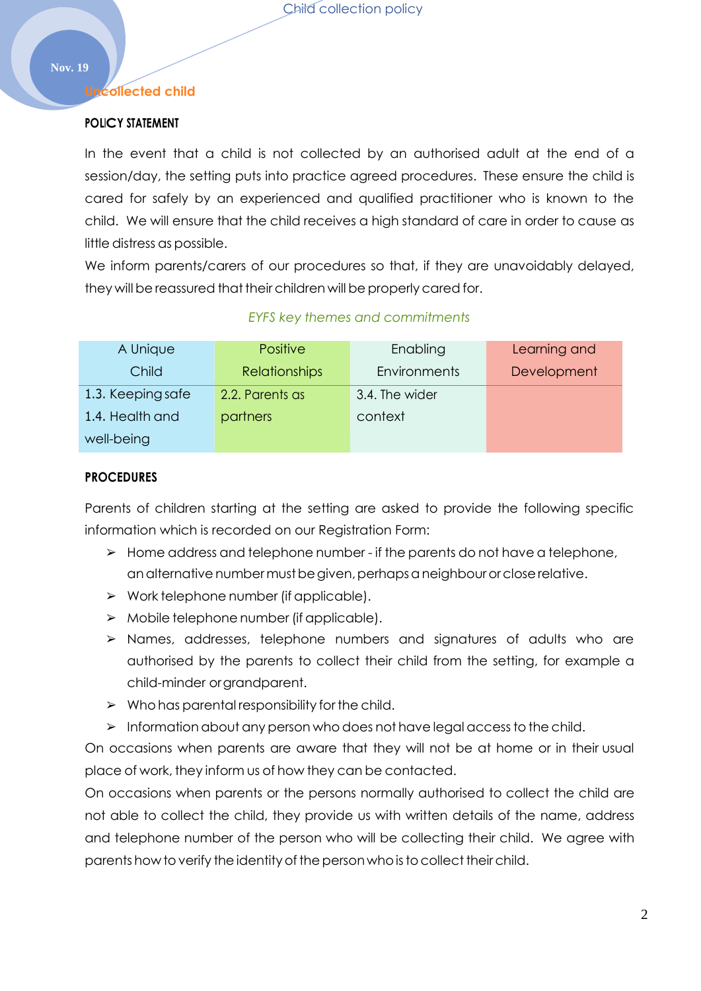#### **Uncollected child**

### **POLICY STATEMENT**

In the event that a child is not collected by an authorised adult at the end of a session/day, the setting puts into practice agreed procedures. These ensure the child is cared for safely by an experienced and qualified practitioner who is known to the child. We will ensure that the child receives a high standard of care in order to cause as little distress as possible.

We inform parents/carers of our procedures so that, if they are unavoidably delayed, they will be reassured that their children will be properly cared for.

| A Unique          | <b>Positive</b>      | Enabling       | Learning and |
|-------------------|----------------------|----------------|--------------|
| Child             | <b>Relationships</b> | Environments   | Development  |
| 1.3. Keeping safe | 2.2. Parents as      | 3.4. The wider |              |
| 1.4. Health and   | partners             | context        |              |
| well-being        |                      |                |              |

#### *EYFS key themes and commitments*

#### **PROCEDURES**

Parents of children starting at the setting are asked to provide the following specific information which is recorded on our Registration Form:

- ➢ Home address and telephone number if the parents do not have a telephone, an alternative number must be given, perhaps a neighbour or close relative.
- $\triangleright$  Work telephone number (if applicable).
- $\triangleright$  Mobile telephone number (if applicable).
- ➢ Names, addresses, telephone numbers and signatures of adults who are authorised by the parents to collect their child from the setting, for example a child-minder orgrandparent.
- $\triangleright$  Who has parental responsibility for the child.
- ➢ Information about any person whodoes not have legal accessto the child.

On occasions when parents are aware that they will not be at home or in their usual place of work, they inform us of how they can be contacted.

On occasions when parents or the persons normally authorised to collect the child are not able to collect the child, they provide us with written details of the name, address and telephone number of the person who will be collecting their child. We agree with parents how to verify the identity of the person who is to collect their child.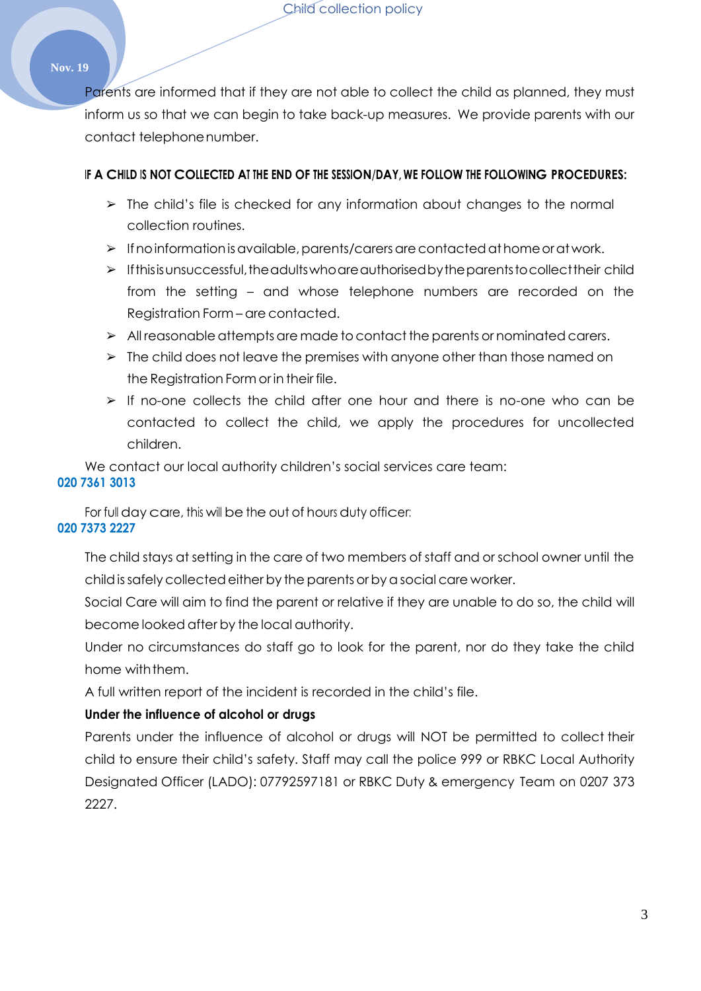Child collection policy

#### **Nov. 19**

Parents are informed that if they are not able to collect the child as planned, they must inform us so that we can begin to take back-up measures. We provide parents with our contact telephonenumber.

#### **IF A CHILD IS NOT COLLECTED AT THE END OF THE SESSION/DAY, WE FOLLOW THE FOLLOWING PROCEDURES:**

- $\triangleright$  The child's file is checked for any information about changes to the normal collection routines.
- ➢ Ifnoinformationisavailable,parents/carersarecontactedathomeorat work.
- $\triangleright$  If this is unsuccessful, the adults who are authorised by the parents to collect their child from the setting – and whose telephone numbers are recorded on the Registration Form – are contacted.
- ➢ All reasonable attempts are made tocontact the parents or nominated carers.
- $\triangleright$  The child does not leave the premises with anyone other than those named on the Registration Form or in their file.
- ➢ If no-one collects the child after one hour and there is no-one who can be contacted to collect the child, we apply the procedures for uncollected children.

We contact our local authority children's social services care team: **020 7361 3013**

For full day care, this will be the out of hours duty officer: **020 7373 2227**

The child stays at setting in the care of two members of staff and or school owner until the childissafelycollectedeither by the parents orbya social care worker.

Social Care will aim to find the parent or relative if they are unable to do so, the child will become looked after by the local authority.

Under no circumstances do staff go to look for the parent, nor do they take the child home withthem.

A full written report of the incident is recorded in the child's file.

#### **Under the influence of alcohol or drugs**

Parents under the influence of alcohol or drugs will NOT be permitted to collect their child to ensure their child's safety. Staff may call the police 999 or RBKC Local Authority Designated Officer (LADO): 07792597181 or RBKC Duty & emergency Team on 0207 373 2227.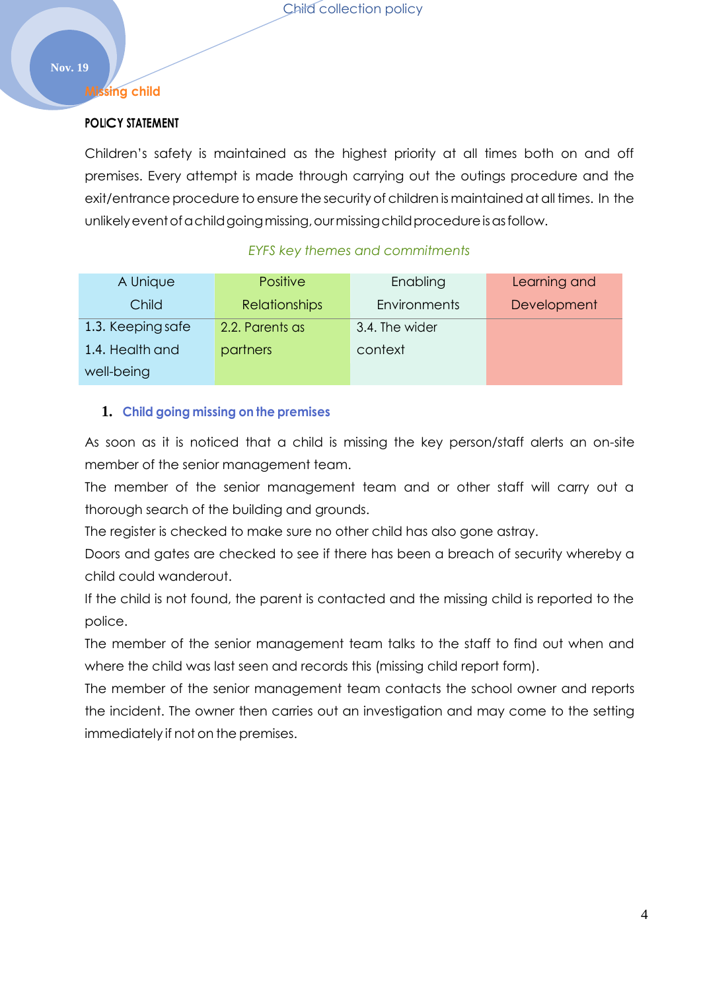#### **Missing child**

## **POLICY STATEMENT**

Children's safety is maintained as the highest priority at all times both on and off premises. Every attempt is made through carrying out the outings procedure and the exit/entrance procedure to ensure the security of children is maintained at all times. In the unlikely event of a child going missing, our missing child procedure is as follow.

# *EYFS key themes and commitments*

| A Unique          | <b>Positive</b>      | Enabling            | Learning and |
|-------------------|----------------------|---------------------|--------------|
| Child             | <b>Relationships</b> | <b>Environments</b> | Development  |
| 1.3. Keeping safe | 2.2. Parents as      | 3.4. The wider      |              |
| 1.4. Health and   | partners             | context             |              |
| well-being        |                      |                     |              |

# **1. Child going missing on the premises**

As soon as it is noticed that a child is missing the key person/staff alerts an on-site member of the senior management team.

The member of the senior management team and or other staff will carry out a thorough search of the building and grounds.

The register is checked to make sure no other child has also gone astray.

Doors and gates are checked to see if there has been a breach of security whereby a child could wanderout.

If the child is not found, the parent is contacted and the missing child is reported to the police.

The member of the senior management team talks to the staff to find out when and where the child was last seen and records this (missing child report form).

The member of the senior management team contacts the school owner and reports the incident. The owner then carries out an investigation and may come to the setting immediately if not on the premises.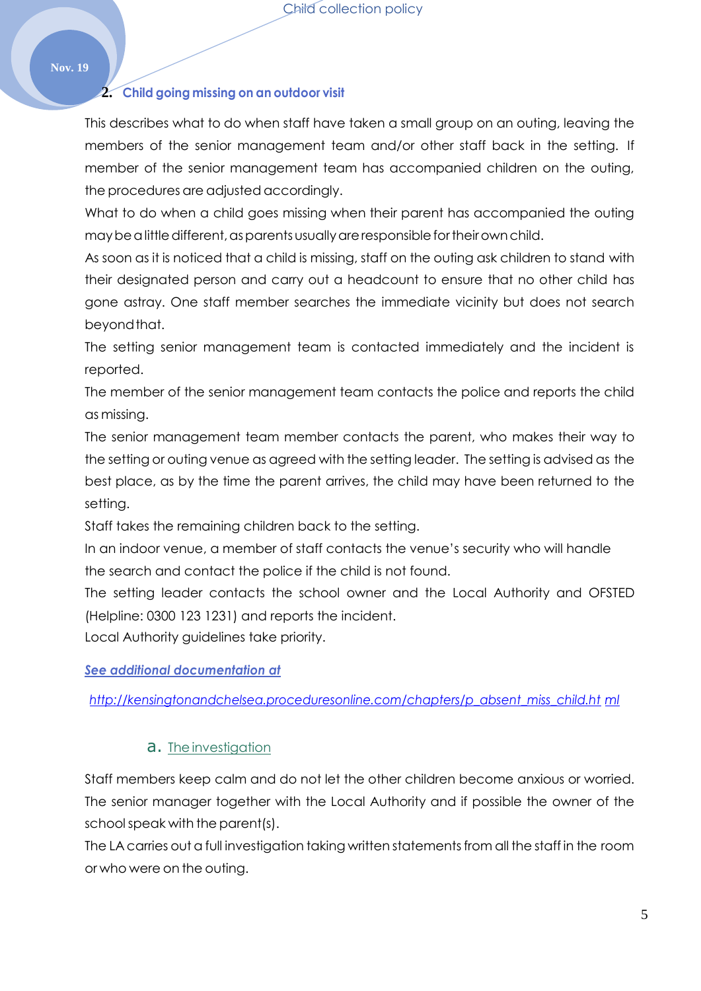### **2. Child going missing on an outdoor visit**

This describes what to do when staff have taken a small group on an outing, leaving the members of the senior management team and/or other staff back in the setting. If member of the senior management team has accompanied children on the outing, the procedures are adjusted accordingly.

What to do when a child goes missing when their parent has accompanied the outing may be a little different, as parents usually are responsible for their own child.

As soon as it is noticed that a child is missing, staff on the outing ask children to stand with their designated person and carry out a headcount to ensure that no other child has gone astray. One staff member searches the immediate vicinity but does not search beyond that.

The setting senior management team is contacted immediately and the incident is reported.

The member of the senior management team contacts the police and reports the child as missing.

The senior management team member contacts the parent, who makes their way to the setting or outing venue as agreed with the setting leader. The setting is advised as the best place, as by the time the parent arrives, the child may have been returned to the setting.

Staff takes the remaining children back to the setting.

In an indoor venue, a member of staff contacts the venue's security who will handle the search and contact the police if the child is not found.

The setting leader contacts the school owner and the Local Authority and OFSTED (Helpline: 0300 123 1231) and reports the incident.

Local Authority guidelines take priority.

*See additional documentation at*

*[http://kensingtonandchelsea.proceduresonline.com/chapters/p\\_absent\\_miss\\_child.ht](http://kensingtonandchelsea.proceduresonline.com/chapters/p_absent_miss_child.html) [ml](http://kensingtonandchelsea.proceduresonline.com/chapters/p_absent_miss_child.html)*

## a. The investigation

Staff members keep calm and do not let the other children become anxious or worried. The senior manager together with the Local Authority and if possible the owner of the schoolspeak with the parent(s).

The LA carries out a full investigation taking written statements from all the staff in the room or who were on the outing.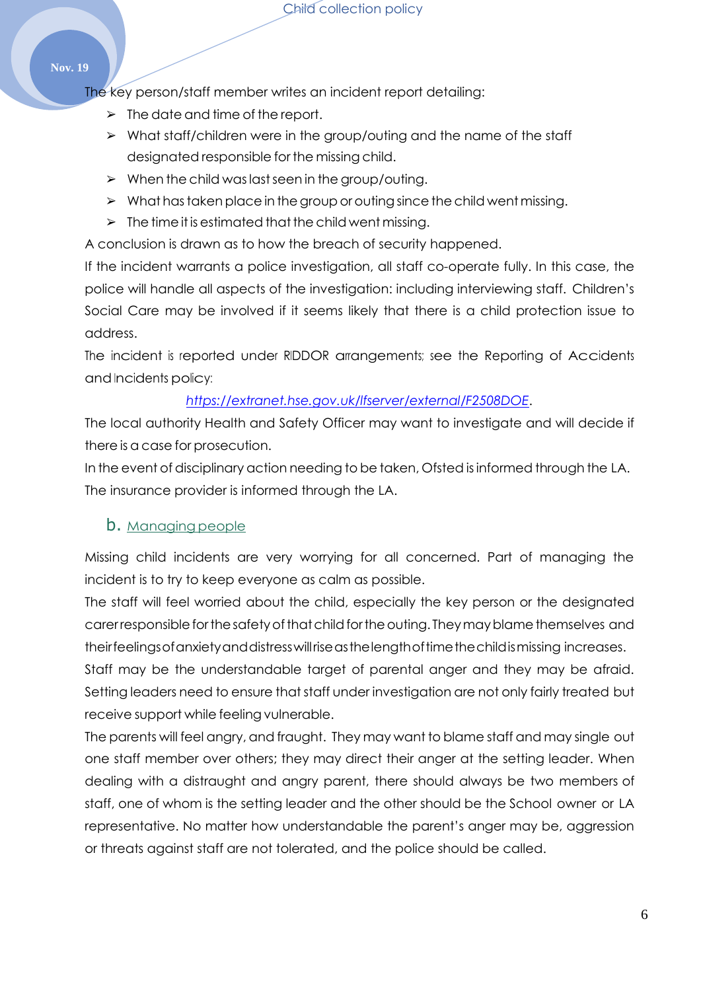#### **Nov. 19**

The key person/staff member writes an incident report detailing:

- $\geq$  The date and time of the report.
- ➢ What staff/children were in the group/outing and the name of the staff designated responsible for the missing child.
- $\triangleright$  When the child was last seen in the group/outing.
- $\triangleright$  What has taken place in the group or outing since the child went missing.
- $\triangleright$  The time it is estimated that the child went missing.

A conclusion is drawn as to how the breach of security happened.

If the incident warrants a police investigation, all staff co-operate fully. In this case, the police will handle all aspects of the investigation: including interviewing staff. Children's Social Care may be involved if it seems likely that there is a child protection issue to address.

The incident is reported under RIDDOR arrangements; see the Reporting of Accidents and Incidents policy:

# *<https://extranet.hse.gov.uk/lfserver/external/F2508DOE>*.

The local authority Health and Safety Officer may want to investigate and will decide if there is a case for prosecution.

In the event of disciplinary action needing to be taken, Ofsted isinformed through the LA. The insurance provider is informed through the LA.

# b. Managing people

Missing child incidents are very worrying for all concerned. Part of managing the incident is to try to keep everyone as calm as possible.

The staff will feel worried about the child, especially the key person or the designated carer responsible for the safety of that child for the outing. They may blame themselves and theirfeelingsofanxietyanddistresswillriseasthelengthoftimethechildismissing increases.

Staff may be the understandable target of parental anger and they may be afraid. Setting leaders need to ensure that staff under investigation are not only fairly treated but receive support while feeling vulnerable.

The parents will feel angry, and fraught. They may want to blame staff and may single out one staff member over others; they may direct their anger at the setting leader. When dealing with a distraught and angry parent, there should always be two members of staff, one of whom is the setting leader and the other should be the School owner or LA representative. No matter how understandable the parent's anger may be, aggression or threats against staff are not tolerated, and the police should be called.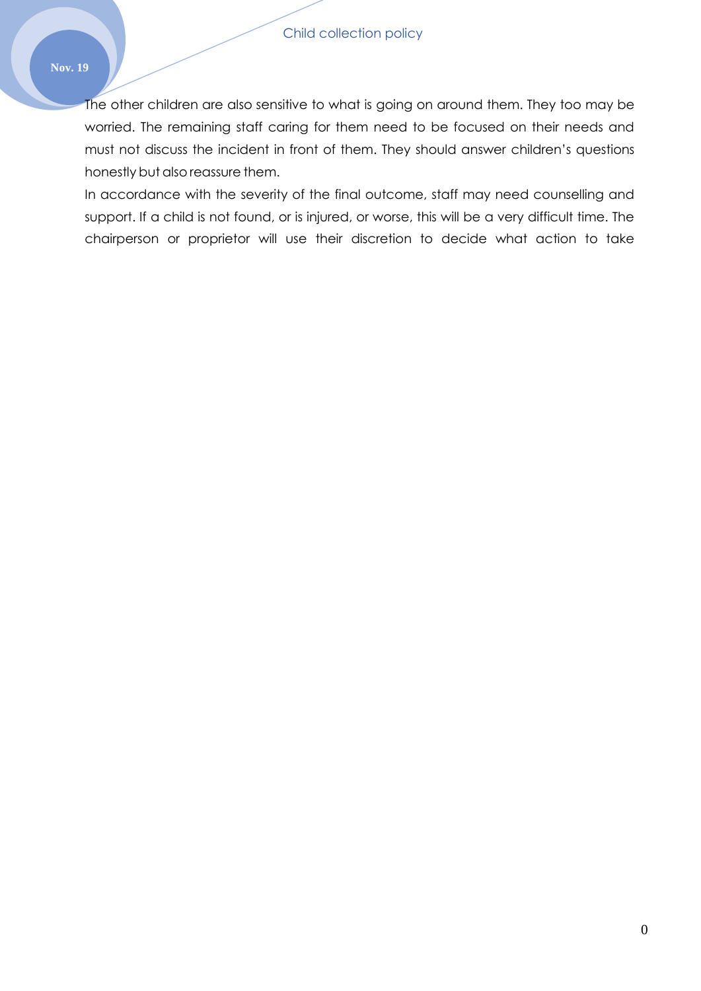#### **Nov. 19**

The other children are also sensitive to what is going on around them. They too may be worried. The remaining staff caring for them need to be focused on their needs and must not discuss the incident in front of them. They should answer children's questions honestly but also reassure them.

In accordance with the severity of the final outcome, staff may need counselling and support. If a child is not found, or is injured, or worse, this will be a very difficult time. The chairperson or proprietor will use their discretion to decide what action to take